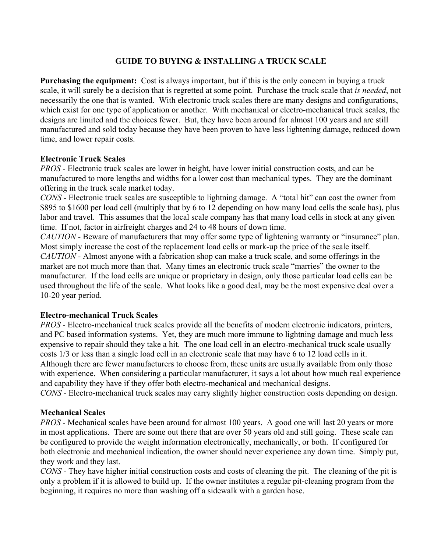# **GUIDE TO BUYING & INSTALLING A TRUCK SCALE**

**Purchasing the equipment:** Cost is always important, but if this is the only concern in buying a truck scale, it will surely be a decision that is regretted at some point. Purchase the truck scale that *is needed*, not necessarily the one that is wanted. With electronic truck scales there are many designs and configurations, which exist for one type of application or another. With mechanical or electro-mechanical truck scales, the designs are limited and the choices fewer. But, they have been around for almost 100 years and are still manufactured and sold today because they have been proven to have less lightening damage, reduced down time, and lower repair costs.

#### **Electronic Truck Scales**

*PROS* - Electronic truck scales are lower in height, have lower initial construction costs, and can be manufactured to more lengths and widths for a lower cost than mechanical types. They are the dominant offering in the truck scale market today.

*CONS -* Electronic truck scales are susceptible to lightning damage. A "total hit" can cost the owner from \$895 to \$1600 per load cell (multiply that by 6 to 12 depending on how many load cells the scale has), plus labor and travel. This assumes that the local scale company has that many load cells in stock at any given time. If not, factor in airfreight charges and 24 to 48 hours of down time.

*CAUTION -* Beware of manufacturers that may offer some type of lightening warranty or "insurance" plan. Most simply increase the cost of the replacement load cells or mark-up the price of the scale itself. *CAUTION -* Almost anyone with a fabrication shop can make a truck scale, and some offerings in the

market are not much more than that. Many times an electronic truck scale "marries" the owner to the manufacturer. If the load cells are unique or proprietary in design, only those particular load cells can be used throughout the life of the scale. What looks like a good deal, may be the most expensive deal over a 10-20 year period.

# **Electro-mechanical Truck Scales**

*PROS* - Electro-mechanical truck scales provide all the benefits of modern electronic indicators, printers, and PC based information systems. Yet, they are much more immune to lightning damage and much less expensive to repair should they take a hit. The one load cell in an electro-mechanical truck scale usually costs 1/3 or less than a single load cell in an electronic scale that may have 6 to 12 load cells in it. Although there are fewer manufacturers to choose from, these units are usually available from only those with experience. When considering a particular manufacturer, it says a lot about how much real experience and capability they have if they offer both electro-mechanical and mechanical designs. *CONS -* Electro-mechanical truck scales may carry slightly higher construction costs depending on design.

# **Mechanical Scales**

*PROS* - Mechanical scales have been around for almost 100 years. A good one will last 20 years or more in most applications. There are some out there that are over 50 years old and still going. These scale can be configured to provide the weight information electronically, mechanically, or both. If configured for both electronic and mechanical indication, the owner should never experience any down time. Simply put, they work and they last.

*CONS -* They have higher initial construction costs and costs of cleaning the pit. The cleaning of the pit is only a problem if it is allowed to build up. If the owner institutes a regular pit-cleaning program from the beginning, it requires no more than washing off a sidewalk with a garden hose.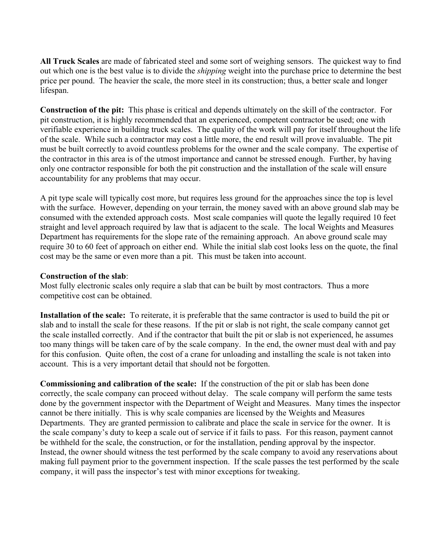**All Truck Scales** are made of fabricated steel and some sort of weighing sensors. The quickest way to find out which one is the best value is to divide the *shipping* weight into the purchase price to determine the best price per pound. The heavier the scale, the more steel in its construction; thus, a better scale and longer lifespan.

**Construction of the pit:** This phase is critical and depends ultimately on the skill of the contractor. For pit construction, it is highly recommended that an experienced, competent contractor be used; one with verifiable experience in building truck scales. The quality of the work will pay for itself throughout the life of the scale. While such a contractor may cost a little more, the end result will prove invaluable. The pit must be built correctly to avoid countless problems for the owner and the scale company. The expertise of the contractor in this area is of the utmost importance and cannot be stressed enough. Further, by having only one contractor responsible for both the pit construction and the installation of the scale will ensure accountability for any problems that may occur.

A pit type scale will typically cost more, but requires less ground for the approaches since the top is level with the surface. However, depending on your terrain, the money saved with an above ground slab may be consumed with the extended approach costs. Most scale companies will quote the legally required 10 feet straight and level approach required by law that is adjacent to the scale. The local Weights and Measures Department has requirements for the slope rate of the remaining approach. An above ground scale may require 30 to 60 feet of approach on either end. While the initial slab cost looks less on the quote, the final cost may be the same or even more than a pit. This must be taken into account.

### **Construction of the slab**:

Most fully electronic scales only require a slab that can be built by most contractors. Thus a more competitive cost can be obtained.

**Installation of the scale:** To reiterate, it is preferable that the same contractor is used to build the pit or slab and to install the scale for these reasons. If the pit or slab is not right, the scale company cannot get the scale installed correctly. And if the contractor that built the pit or slab is not experienced, he assumes too many things will be taken care of by the scale company. In the end, the owner must deal with and pay for this confusion. Quite often, the cost of a crane for unloading and installing the scale is not taken into account. This is a very important detail that should not be forgotten.

**Commissioning and calibration of the scale:** If the construction of the pit or slab has been done correctly, the scale company can proceed without delay. The scale company will perform the same tests done by the government inspector with the Department of Weight and Measures. Many times the inspector cannot be there initially. This is why scale companies are licensed by the Weights and Measures Departments. They are granted permission to calibrate and place the scale in service for the owner. It is the scale company's duty to keep a scale out of service if it fails to pass. For this reason, payment cannot be withheld for the scale, the construction, or for the installation, pending approval by the inspector. Instead, the owner should witness the test performed by the scale company to avoid any reservations about making full payment prior to the government inspection. If the scale passes the test performed by the scale company, it will pass the inspector's test with minor exceptions for tweaking.